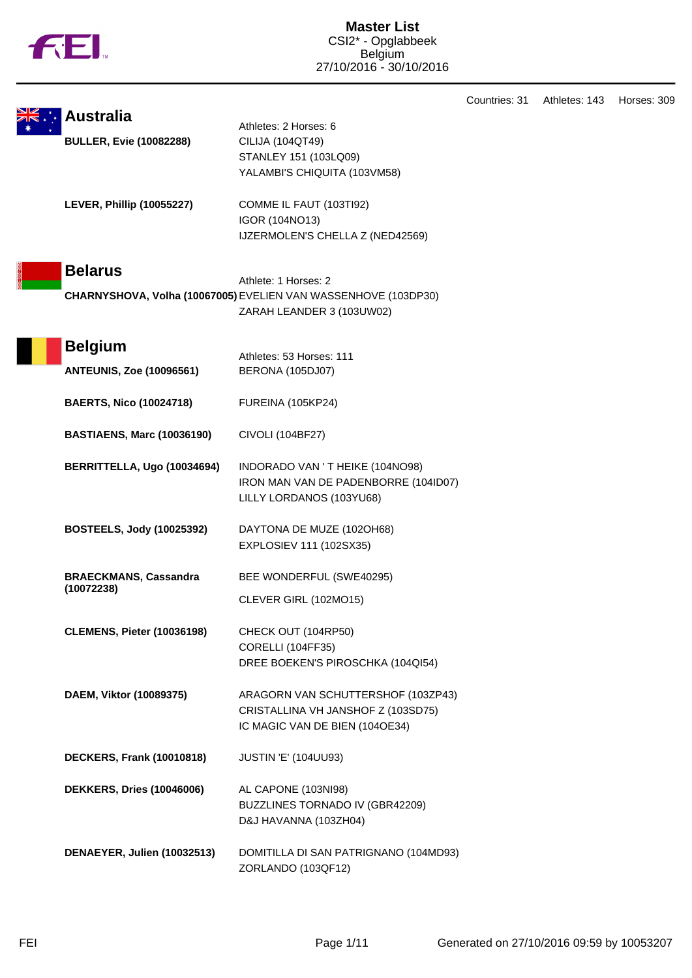

Countries: 31 Athletes: 143 Horses: 309

| <b>Australia</b>                           | Athletes: 2 Horses: 6                                                |
|--------------------------------------------|----------------------------------------------------------------------|
| <b>BULLER, Evie (10082288)</b>             | CILIJA (104QT49)                                                     |
|                                            | STANLEY 151 (103LQ09)                                                |
|                                            | YALAMBI'S CHIQUITA (103VM58)                                         |
| <b>LEVER, Phillip (10055227)</b>           | COMME IL FAUT (103TI92)                                              |
|                                            | IGOR (104NO13)                                                       |
|                                            | IJZERMOLEN'S CHELLA Z (NED42569)                                     |
| <b>Belarus</b>                             |                                                                      |
|                                            | Athlete: 1 Horses: 2                                                 |
|                                            | CHARNYSHOVA, Volha (10067005) EVELIEN VAN WASSENHOVE (103DP30)       |
|                                            | ZARAH LEANDER 3 (103UW02)                                            |
| <b>Belgium</b>                             |                                                                      |
|                                            | Athletes: 53 Horses: 111                                             |
| <b>ANTEUNIS, Zoe (10096561)</b>            | BERONA (105DJ07)                                                     |
| <b>BAERTS, Nico (10024718)</b>             | <b>FUREINA (105KP24)</b>                                             |
|                                            |                                                                      |
| <b>BASTIAENS, Marc (10036190)</b>          | CIVOLI (104BF27)                                                     |
| BERRITTELLA, Ugo (10034694)                | INDORADO VAN 'T HEIKE (104NO98)                                      |
|                                            | IRON MAN VAN DE PADENBORRE (104ID07)                                 |
|                                            | LILLY LORDANOS (103YU68)                                             |
| <b>BOSTEELS, Jody (10025392)</b>           | DAYTONA DE MUZE (102OH68)                                            |
|                                            | EXPLOSIEV 111 (102SX35)                                              |
|                                            |                                                                      |
| <b>BRAECKMANS, Cassandra</b><br>(10072238) | BEE WONDERFUL (SWE40295)                                             |
|                                            | CLEVER GIRL (102MO15)                                                |
|                                            |                                                                      |
| <b>CLEMENS, Pieter (10036198)</b>          | CHECK OUT (104RP50)<br>CORELLI (104FF35)                             |
|                                            | DREE BOEKEN'S PIROSCHKA (104QI54)                                    |
|                                            |                                                                      |
| DAEM, Viktor (10089375)                    | ARAGORN VAN SCHUTTERSHOF (103ZP43)                                   |
|                                            | CRISTALLINA VH JANSHOF Z (103SD75)<br>IC MAGIC VAN DE BIEN (1040E34) |
|                                            |                                                                      |
| <b>DECKERS, Frank (10010818)</b>           | <b>JUSTIN 'E' (104UU93)</b>                                          |
|                                            |                                                                      |
| <b>DEKKERS, Dries (10046006)</b>           | AL CAPONE (103NI98)<br>BUZZLINES TORNADO IV (GBR42209)               |
|                                            | D&J HAVANNA (103ZH04)                                                |
|                                            |                                                                      |
| DENAEYER, Julien (10032513)                | DOMITILLA DI SAN PATRIGNANO (104MD93)                                |
|                                            | ZORLANDO (103QF12)                                                   |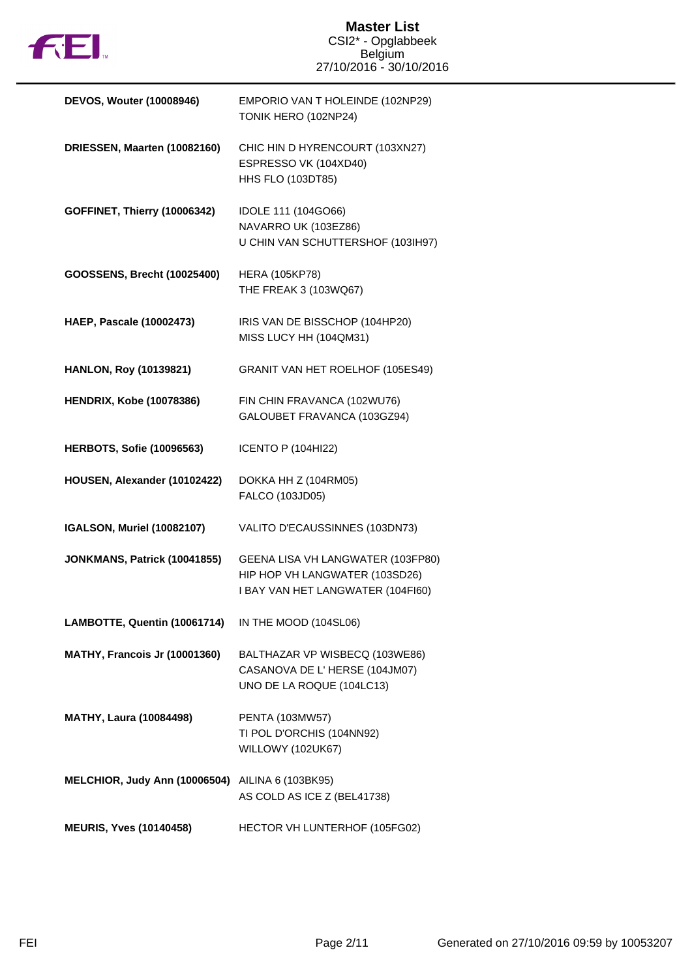

## **Master List** CSI2\* - Opglabbeek Belgium 27/10/2016 - 30/10/2016

| <b>DEVOS, Wouter (10008946)</b>      | EMPORIO VAN T HOLEINDE (102NP29)<br>TONIK HERO (102NP24)                                                 |
|--------------------------------------|----------------------------------------------------------------------------------------------------------|
| DRIESSEN, Maarten (10082160)         | CHIC HIN D HYRENCOURT (103XN27)<br>ESPRESSO VK (104XD40)<br><b>HHS FLO (103DT85)</b>                     |
| GOFFINET, Thierry (10006342)         | IDOLE 111 (104GO66)<br>NAVARRO UK (103EZ86)<br>U CHIN VAN SCHUTTERSHOF (103IH97)                         |
| <b>GOOSSENS, Brecht (10025400)</b>   | <b>HERA (105KP78)</b><br>THE FREAK 3 (103WQ67)                                                           |
| <b>HAEP, Pascale (10002473)</b>      | IRIS VAN DE BISSCHOP (104HP20)<br>MISS LUCY HH (104QM31)                                                 |
| HANLON, Roy (10139821)               | <b>GRANIT VAN HET ROELHOF (105ES49)</b>                                                                  |
| <b>HENDRIX, Kobe (10078386)</b>      | FIN CHIN FRAVANCA (102WU76)<br>GALOUBET FRAVANCA (103GZ94)                                               |
| <b>HERBOTS, Sofie (10096563)</b>     | <b>ICENTO P (104HI22)</b>                                                                                |
|                                      |                                                                                                          |
| HOUSEN, Alexander (10102422)         | DOKKA HH Z (104RM05)<br>FALCO (103JD05)                                                                  |
| <b>IGALSON, Muriel (10082107)</b>    | VALITO D'ECAUSSINNES (103DN73)                                                                           |
| JONKMANS, Patrick (10041855)         | GEENA LISA VH LANGWATER (103FP80)<br>HIP HOP VH LANGWATER (103SD26)<br>I BAY VAN HET LANGWATER (104FI60) |
| LAMBOTTE, Quentin (10061714)         | IN THE MOOD (104SL06)                                                                                    |
| MATHY, Francois Jr (10001360)        | BALTHAZAR VP WISBECQ (103WE86)<br>CASANOVA DE L'HERSE (104JM07)<br>UNO DE LA ROQUE (104LC13)             |
| <b>MATHY, Laura (10084498)</b>       | PENTA (103MW57)<br>TI POL D'ORCHIS (104NN92)<br>WILLOWY (102UK67)                                        |
| <b>MELCHIOR, Judy Ann (10006504)</b> | AILINA 6 (103BK95)<br>AS COLD AS ICE Z (BEL41738)                                                        |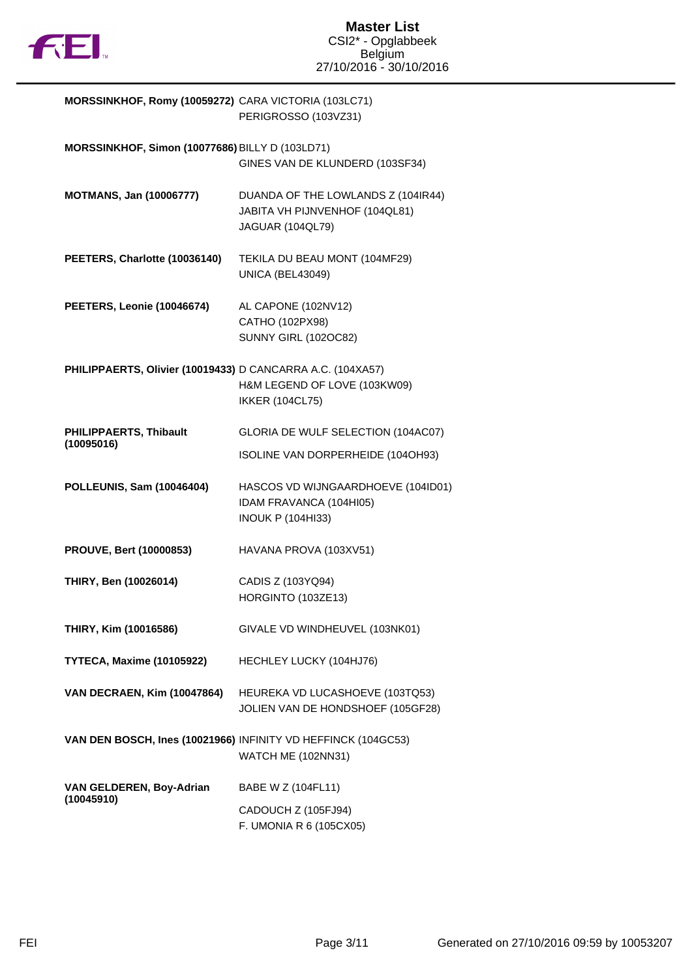

| MORSSINKHOF, Romy (10059272) CARA VICTORIA (103LC71)       | PERIGROSSO (103VZ31)                                                                            |
|------------------------------------------------------------|-------------------------------------------------------------------------------------------------|
| MORSSINKHOF, Simon (10077686) BILLY D (103LD71)            | GINES VAN DE KLUNDERD (103SF34)                                                                 |
| <b>MOTMANS, Jan (10006777)</b>                             | DUANDA OF THE LOWLANDS Z (104IR44)<br>JABITA VH PIJNVENHOF (104QL81)<br><b>JAGUAR (104QL79)</b> |
| PEETERS, Charlotte (10036140)                              | TEKILA DU BEAU MONT (104MF29)<br><b>UNICA (BEL43049)</b>                                        |
| PEETERS, Leonie (10046674)                                 | AL CAPONE (102NV12)<br>CATHO (102PX98)<br><b>SUNNY GIRL (102OC82)</b>                           |
| PHILIPPAERTS, Olivier (10019433) D CANCARRA A.C. (104XA57) | H&M LEGEND OF LOVE (103KW09)<br><b>IKKER (104CL75)</b>                                          |
| PHILIPPAERTS, Thibault<br>(10095016)                       | GLORIA DE WULF SELECTION (104AC07)                                                              |
|                                                            | ISOLINE VAN DORPERHEIDE (104OH93)                                                               |
| POLLEUNIS, Sam (10046404)                                  | HASCOS VD WIJNGAARDHOEVE (104ID01)<br>IDAM FRAVANCA (104HI05)<br><b>INOUK P (104HI33)</b>       |
| <b>PROUVE, Bert (10000853)</b>                             | HAVANA PROVA (103XV51)                                                                          |
| THIRY, Ben (10026014)                                      | CADIS Z (103YQ94)<br>HORGINTO (103ZE13)                                                         |
| THIRY, Kim (10016586)                                      | GIVALE VD WINDHEUVEL (103NK01)                                                                  |
| TYTECA, Maxime (10105922)                                  | HECHLEY LUCKY (104HJ76)                                                                         |
| <b>VAN DECRAEN, Kim (10047864)</b>                         | HEUREKA VD LUCASHOEVE (103TQ53)<br>JOLIEN VAN DE HONDSHOEF (105GF28)                            |
|                                                            | VAN DEN BOSCH, Ines (10021966) INFINITY VD HEFFINCK (104GC53)<br>WATCH ME (102NN31)             |
| VAN GELDEREN, Boy-Adrian<br>(10045910)                     | BABE W Z (104FL11)                                                                              |
|                                                            | CADOUCH Z (105FJ94)<br>F. UMONIA R 6 (105CX05)                                                  |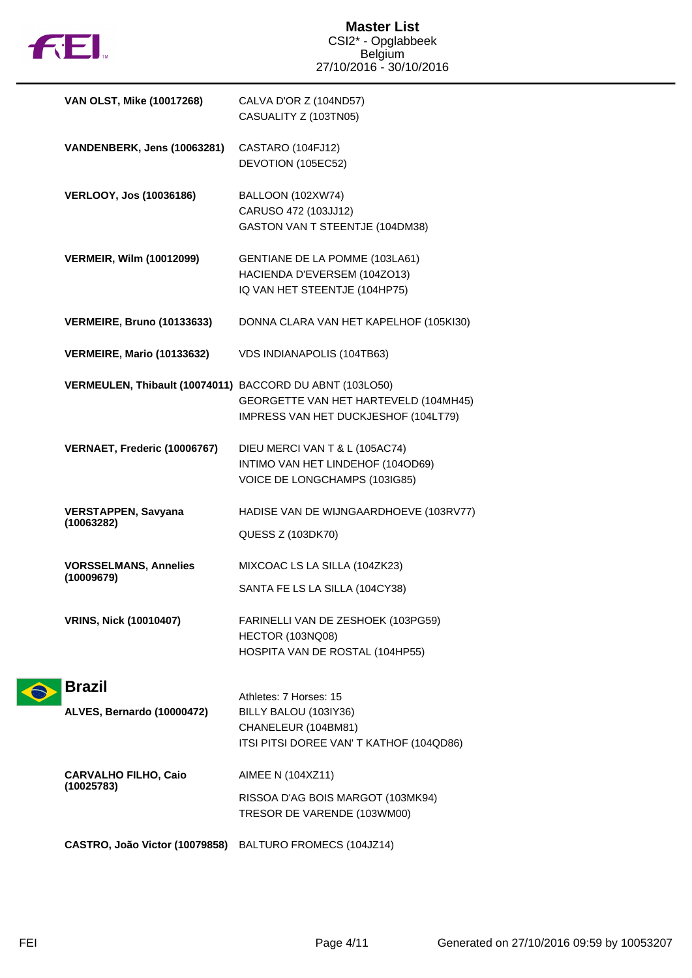

| VAN OLST, Mike (10017268)                                | CALVA D'OR Z (104ND57)<br>CASUALITY Z (103TN05)                                                                    |
|----------------------------------------------------------|--------------------------------------------------------------------------------------------------------------------|
| VANDENBERK, Jens (10063281)                              | CASTARO (104FJ12)<br>DEVOTION (105EC52)                                                                            |
| <b>VERLOOY, Jos (10036186)</b>                           | BALLOON (102XW74)<br>CARUSO 472 (103JJ12)<br>GASTON VAN T STEENTJE (104DM38)                                       |
| <b>VERMEIR, Wilm (10012099)</b>                          | GENTIANE DE LA POMME (103LA61)<br>HACIENDA D'EVERSEM (104ZO13)<br>IQ VAN HET STEENTJE (104HP75)                    |
| <b>VERMEIRE, Bruno (10133633)</b>                        | DONNA CLARA VAN HET KAPELHOF (105KI30)                                                                             |
| <b>VERMEIRE, Mario (10133632)</b>                        | <b>VDS INDIANAPOLIS (104TB63)</b>                                                                                  |
| VERMEULEN, Thibault (10074011) BACCORD DU ABNT (103LO50) | GEORGETTE VAN HET HARTEVELD (104MH45)<br>IMPRESS VAN HET DUCKJESHOF (104LT79)                                      |
| VERNAET, Frederic (10006767)                             | DIEU MERCI VAN T & L (105AC74)<br>INTIMO VAN HET LINDEHOF (104OD69)<br>VOICE DE LONGCHAMPS (103IG85)               |
| <b>VERSTAPPEN, Savyana</b><br>(10063282)                 | HADISE VAN DE WIJNGAARDHOEVE (103RV77)<br><b>QUESS Z (103DK70)</b>                                                 |
| <b>VORSSELMANS, Annelies</b><br>(10009679)               | MIXCOAC LS LA SILLA (104ZK23)<br>SANTA FE LS LA SILLA (104CY38)                                                    |
| <b>VRINS, Nick (10010407)</b>                            | FARINELLI VAN DE ZESHOEK (103PG59)<br>HECTOR (103NQ08)<br>HOSPITA VAN DE ROSTAL (104HP55)                          |
| <b>Brazil</b><br>ALVES, Bernardo (10000472)              | Athletes: 7 Horses: 15<br>BILLY BALOU (103IY36)<br>CHANELEUR (104BM81)<br>ITSI PITSI DOREE VAN' T KATHOF (104QD86) |
| <b>CARVALHO FILHO, Caio</b><br>(10025783)                | AIMEE N (104XZ11)<br>RISSOA D'AG BOIS MARGOT (103MK94)<br>TRESOR DE VARENDE (103WM00)                              |
| CASTRO, João Victor (10079858)                           | BALTURO FROMECS (104JZ14)                                                                                          |

 $\bullet$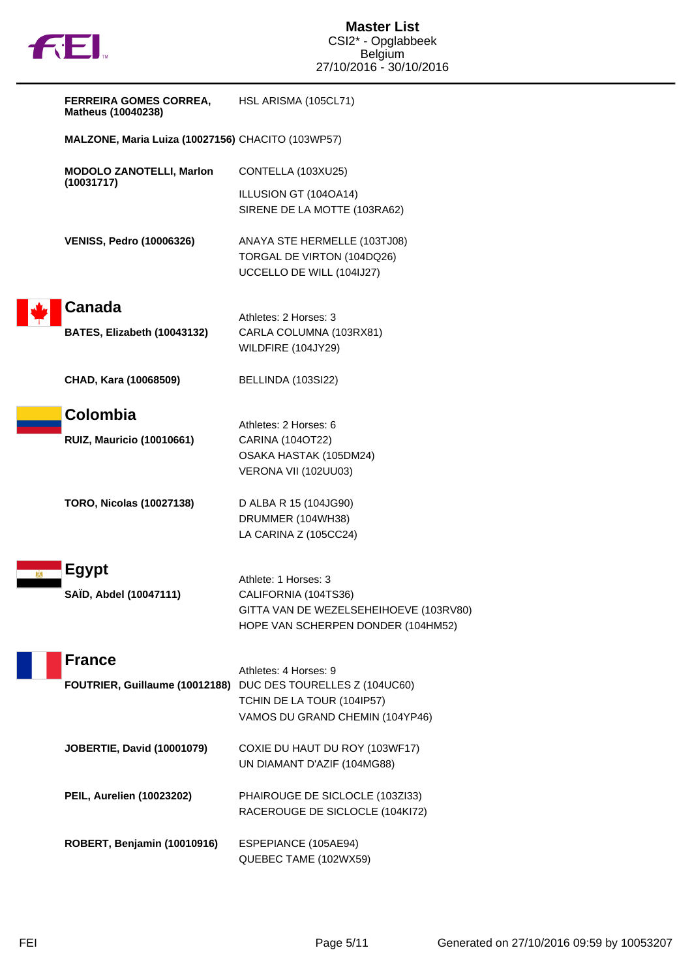

| <b>FERREIRA GOMES CORREA,</b><br>Matheus (10040238) | HSL ARISMA (105CL71)                                                                                                         |
|-----------------------------------------------------|------------------------------------------------------------------------------------------------------------------------------|
| MALZONE, Maria Luiza (10027156) CHACITO (103WP57)   |                                                                                                                              |
| <b>MODOLO ZANOTELLI, Marlon</b><br>(10031717)       | CONTELLA (103XU25)                                                                                                           |
|                                                     | ILLUSION GT (104OA14)<br>SIRENE DE LA MOTTE (103RA62)                                                                        |
| <b>VENISS, Pedro (10006326)</b>                     | ANAYA STE HERMELLE (103TJ08)<br>TORGAL DE VIRTON (104DQ26)<br>UCCELLO DE WILL (104IJ27)                                      |
| <b>Canada</b><br>BATES, Elizabeth (10043132)        | Athletes: 2 Horses: 3<br>CARLA COLUMNA (103RX81)<br>WILDFIRE (104JY29)                                                       |
| CHAD, Kara (10068509)                               | BELLINDA (103SI22)                                                                                                           |
| Colombia<br><b>RUIZ, Mauricio (10010661)</b>        | Athletes: 2 Horses: 6<br>CARINA (104OT22)<br>OSAKA HASTAK (105DM24)<br>VERONA VII (102UU03)                                  |
| <b>TORO, Nicolas (10027138)</b>                     | D ALBA R 15 (104JG90)<br>DRUMMER (104WH38)<br>LA CARINA Z (105CC24)                                                          |
| <b>Egypt</b><br>SAÏD, Abdel (10047111)              | Athlete: 1 Horses: 3<br>CALIFORNIA (104TS36)<br>GITTA VAN DE WEZELSEHEIHOEVE (103RV80)<br>HOPE VAN SCHERPEN DONDER (104HM52) |
| <b>France</b><br>FOUTRIER, Guillaume (10012188)     | Athletes: 4 Horses: 9<br>DUC DES TOURELLES Z (104UC60)<br>TCHIN DE LA TOUR (104IP57)<br>VAMOS DU GRAND CHEMIN (104YP46)      |
| <b>JOBERTIE, David (10001079)</b>                   | COXIE DU HAUT DU ROY (103WF17)<br>UN DIAMANT D'AZIF (104MG88)                                                                |
| PEIL, Aurelien (10023202)                           | PHAIROUGE DE SICLOCLE (103ZI33)<br>RACEROUGE DE SICLOCLE (104KI72)                                                           |
| ROBERT, Benjamin (10010916)                         | ESPEPIANCE (105AE94)<br>QUEBEC TAME (102WX59)                                                                                |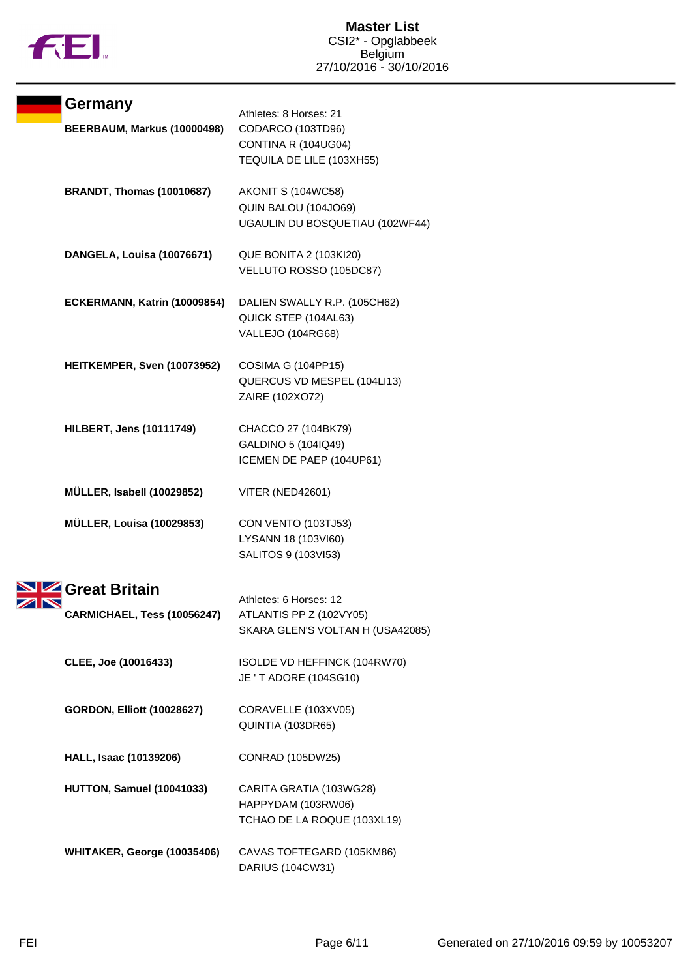

| Germany                                      | Athletes: 8 Horses: 21                                                                |
|----------------------------------------------|---------------------------------------------------------------------------------------|
| BEERBAUM, Markus (10000498)                  | CODARCO (103TD96)<br>CONTINA R (104UG04)<br>TEQUILA DE LILE (103XH55)                 |
| <b>BRANDT, Thomas (10010687)</b>             | AKONIT S (104WC58)<br>QUIN BALOU (104JO69)<br>UGAULIN DU BOSQUETIAU (102WF44)         |
| DANGELA, Louisa (10076671)                   | QUE BONITA 2 (103KI20)<br>VELLUTO ROSSO (105DC87)                                     |
| ECKERMANN, Katrin (10009854)                 | DALIEN SWALLY R.P. (105CH62)<br>QUICK STEP (104AL63)<br>VALLEJO (104RG68)             |
| HEITKEMPER, Sven (10073952)                  | <b>COSIMA G (104PP15)</b><br>QUERCUS VD MESPEL (104LI13)<br>ZAIRE (102XO72)           |
| <b>HILBERT, Jens (10111749)</b>              | CHACCO 27 (104BK79)<br>GALDINO 5 (104IQ49)<br>ICEMEN DE PAEP (104UP61)                |
| MÜLLER, Isabell (10029852)                   | <b>VITER (NED42601)</b>                                                               |
| MÜLLER, Louisa (10029853)                    | CON VENTO (103TJ53)<br>LYSANN 18 (103VI60)<br>SALITOS 9 (103VI53)                     |
| Great Britain<br>CARMICHAEL, Tess (10056247) | Athletes: 6 Horses: 12<br>ATLANTIS PP Z (102VY05)<br>SKARA GLEN'S VOLTAN H (USA42085) |
| CLEE, Joe (10016433)                         | ISOLDE VD HEFFINCK (104RW70)<br>JE ' T ADORE (104SG10)                                |
| <b>GORDON, Elliott (10028627)</b>            | CORAVELLE (103XV05)<br>QUINTIA (103DR65)                                              |
| <b>HALL, Isaac (10139206)</b>                | CONRAD (105DW25)                                                                      |
| HUTTON, Samuel (10041033)                    | CARITA GRATIA (103WG28)<br>HAPPYDAM (103RW06)<br>TCHAO DE LA ROQUE (103XL19)          |
| WHITAKER, George (10035406)                  | CAVAS TOFTEGARD (105KM86)<br>DARIUS (104CW31)                                         |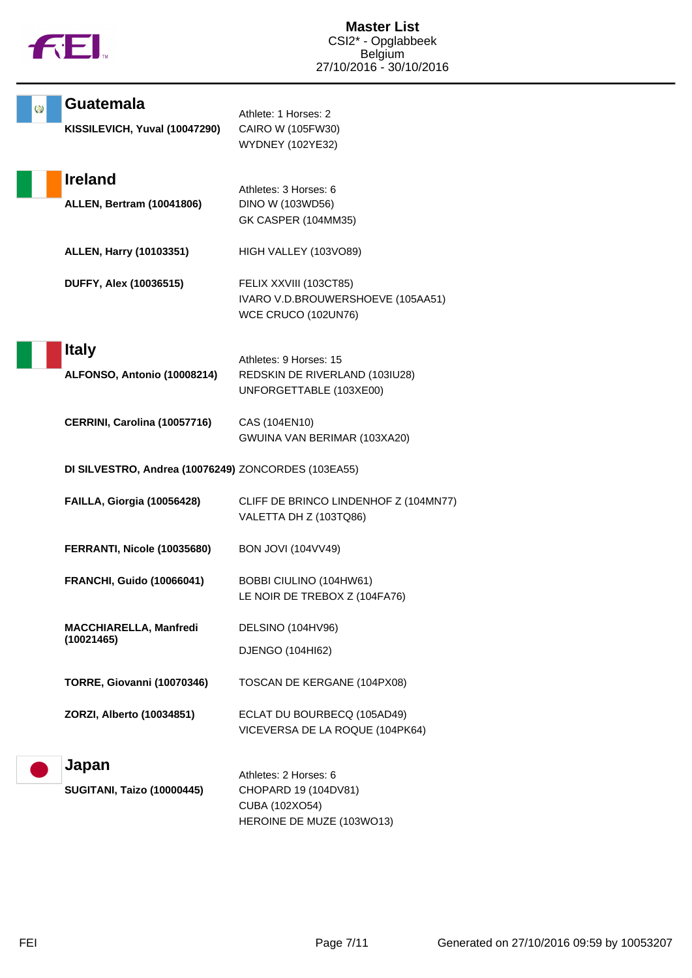

| Ø | <b>Guatemala</b>                                    | Athlete: 1 Horses: 2                                           |
|---|-----------------------------------------------------|----------------------------------------------------------------|
|   | KISSILEVICH, Yuval (10047290)                       | CAIRO W (105FW30)                                              |
|   |                                                     | <b>WYDNEY (102YE32)</b>                                        |
|   | <b>Ireland</b>                                      |                                                                |
|   | <b>ALLEN, Bertram (10041806)</b>                    | Athletes: 3 Horses: 6<br>DINO W (103WD56)                      |
|   |                                                     | GK CASPER (104MM35)                                            |
|   | <b>ALLEN, Harry (10103351)</b>                      | HIGH VALLEY (103VO89)                                          |
|   | <b>DUFFY, Alex (10036515)</b>                       | FELIX XXVIII (103CT85)                                         |
|   |                                                     | IVARO V.D.BROUWERSHOEVE (105AA51)                              |
|   |                                                     | WCE CRUCO (102UN76)                                            |
|   | <b>Italy</b>                                        |                                                                |
|   | ALFONSO, Antonio (10008214)                         | Athletes: 9 Horses: 15<br>REDSKIN DE RIVERLAND (103IU28)       |
|   |                                                     | UNFORGETTABLE (103XE00)                                        |
|   |                                                     |                                                                |
|   | CERRINI, Carolina (10057716)                        | CAS (104EN10)                                                  |
|   |                                                     | GWUINA VAN BERIMAR (103XA20)                                   |
|   | DI SILVESTRO, Andrea (10076249) ZONCORDES (103EA55) |                                                                |
|   | FAILLA, Giorgia (10056428)                          | CLIFF DE BRINCO LINDENHOF Z (104MN77)                          |
|   |                                                     | VALETTA DH Z (103TQ86)                                         |
|   | FERRANTI, Nicole (10035680)                         | <b>BON JOVI (104VV49)</b>                                      |
|   |                                                     |                                                                |
|   | <b>FRANCHI, Guido (10066041)</b>                    | BOBBI CIULINO (104HW61)                                        |
|   |                                                     | LE NOIR DE TREBOX Z (104FA76)                                  |
|   | MACCHIARELLA, Manfredi<br>(10021465)                | DELSINO (104HV96)                                              |
|   |                                                     | DJENGO (104HI62)                                               |
|   | <b>TORRE, Giovanni (10070346)</b>                   | TOSCAN DE KERGANE (104PX08)                                    |
|   |                                                     |                                                                |
|   | ZORZI, Alberto (10034851)                           | ECLAT DU BOURBECQ (105AD49)<br>VICEVERSA DE LA ROQUE (104PK64) |
|   |                                                     |                                                                |
|   | Japan                                               | Athletes: 2 Horses: 6                                          |
|   | <b>SUGITANI, Taizo (10000445)</b>                   | CHOPARD 19 (104DV81)                                           |
|   |                                                     | CUBA (102XO54)                                                 |
|   |                                                     | HEROINE DE MUZE (103WO13)                                      |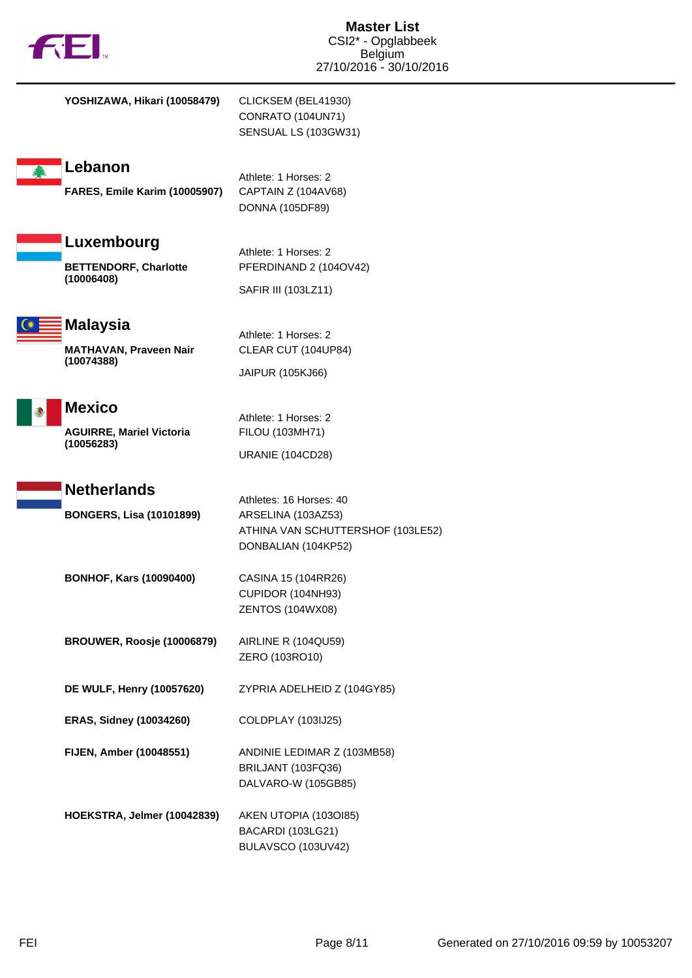|                              | <b>132.</b>                                                    | <b>Master List</b><br>CSI2* - Opglabbeek<br><b>Belgium</b><br>27/10/2016 - 30/10/2016                     |
|------------------------------|----------------------------------------------------------------|-----------------------------------------------------------------------------------------------------------|
|                              | YOSHIZAWA, Hikari (10058479)                                   | CLICKSEM (BEL41930)<br>CONRATO (104UN71)<br>SENSUAL LS (103GW31)                                          |
|                              | Lebanon<br><b>FARES, Emile Karim (10005907)</b>                | Athlete: 1 Horses: 2<br>CAPTAIN Z (104AV68)<br>DONNA (105DF89)                                            |
|                              | Luxembourg<br><b>BETTENDORF, Charlotte</b><br>(10006408)       | Athlete: 1 Horses: 2<br>PFERDINAND 2 (104OV42)<br>SAFIR III (103LZ11)                                     |
|                              | <b>Malaysia</b><br>MATHAVAN, Praveen Nair<br>(10074388)        | Athlete: 1 Horses: 2<br>CLEAR CUT (104UP84)<br>JAIPUR (105KJ66)                                           |
| $\left( \frac{1}{2} \right)$ | <b>Mexico</b><br><b>AGUIRRE, Mariel Victoria</b><br>(10056283) | Athlete: 1 Horses: 2<br>FILOU (103MH71)<br><b>URANIE (104CD28)</b>                                        |
|                              | <b>Netherlands</b><br><b>BONGERS, Lisa (10101899)</b>          | Athletes: 16 Horses: 40<br>ARSELINA (103AZ53)<br>ATHINA VAN SCHUTTERSHOF (103LE52)<br>DONBALIAN (104KP52) |
|                              | <b>BONHOF, Kars (10090400)</b>                                 | CASINA 15 (104RR26)<br>CUPIDOR (104NH93)<br><b>ZENTOS (104WX08)</b>                                       |
|                              | BROUWER, Roosje (10006879)                                     | AIRLINE R (104QU59)<br>ZERO (103RO10)                                                                     |
|                              | DE WULF, Henry (10057620)                                      | ZYPRIA ADELHEID Z (104GY85)                                                                               |
|                              | <b>ERAS, Sidney (10034260)</b>                                 | COLDPLAY (103IJ25)                                                                                        |
|                              | FIJEN, Amber (10048551)                                        | ANDINIE LEDIMAR Z (103MB58)<br>BRILJANT (103FQ36)<br>DALVARO-W (105GB85)                                  |
|                              | HOEKSTRA, Jelmer (10042839)                                    | AKEN UTOPIA (1030185)<br>BACARDI (103LG21)<br>BULAVSCO (103UV42)                                          |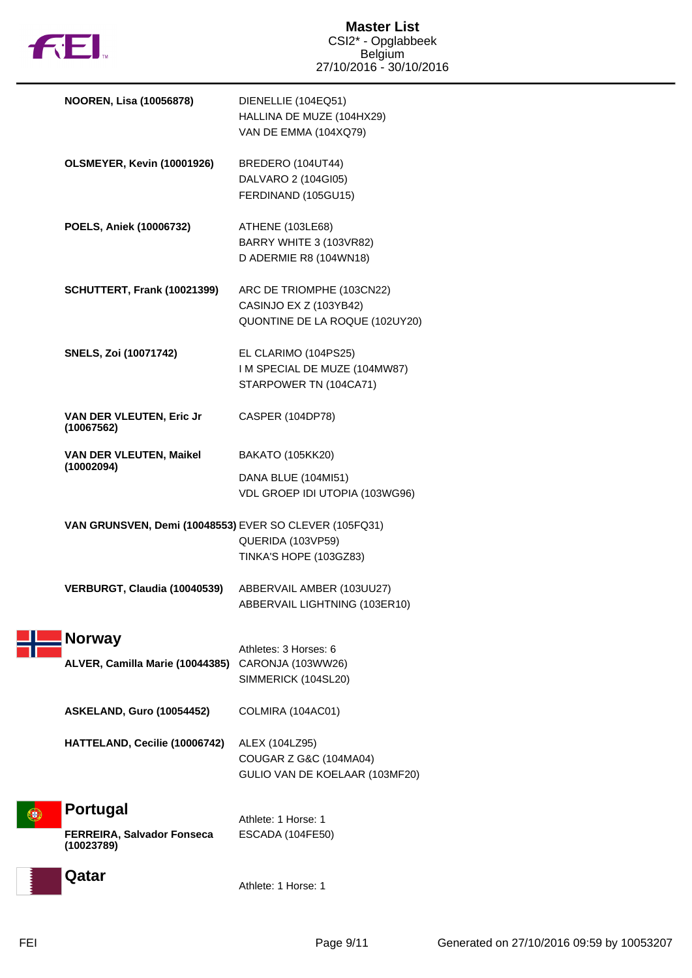

| <b>NOOREN, Lisa (10056878)</b>                         | DIENELLIE (104EQ51)<br>HALLINA DE MUZE (104HX29)<br>VAN DE EMMA (104XQ79)             |
|--------------------------------------------------------|---------------------------------------------------------------------------------------|
| OLSMEYER, Kevin (10001926)                             | BREDERO (104UT44)<br>DALVARO 2 (104GI05)<br>FERDINAND (105GU15)                       |
| POELS, Aniek (10006732)                                | ATHENE (103LE68)<br>BARRY WHITE 3 (103VR82)<br>D ADERMIE R8 (104WN18)                 |
| SCHUTTERT, Frank (10021399)                            | ARC DE TRIOMPHE (103CN22)<br>CASINJO EX Z (103YB42)<br>QUONTINE DE LA ROQUE (102UY20) |
| <b>SNELS, Zoi (10071742)</b>                           | EL CLARIMO (104PS25)<br>I M SPECIAL DE MUZE (104MW87)<br>STARPOWER TN (104CA71)       |
| VAN DER VLEUTEN, Eric Jr<br>(10067562)                 | <b>CASPER (104DP78)</b>                                                               |
| <b>VAN DER VLEUTEN, Maikel</b>                         | <b>BAKATO (105KK20)</b>                                                               |
| (10002094)                                             | DANA BLUE (104MI51)<br>VDL GROEP IDI UTOPIA (103WG96)                                 |
| VAN GRUNSVEN, Demi (10048553) EVER SO CLEVER (105FQ31) | QUERIDA (103VP59)<br><b>TINKA'S HOPE (103GZ83)</b>                                    |
| VERBURGT, Claudia (10040539)                           | ABBERVAIL AMBER (103UU27)<br>ABBERVAIL LIGHTNING (103ER10)                            |
| <b>Norway</b><br>ALVER, Camilla Marie (10044385)       | Athletes: 3 Horses: 6<br>CARONJA (103WW26)<br>SIMMERICK (104SL20)                     |
| <b>ASKELAND, Guro (10054452)</b>                       | COLMIRA (104AC01)                                                                     |
| HATTELAND, Cecilie (10006742)                          | ALEX (104LZ95)<br>COUGAR Z G&C (104MA04)<br>GULIO VAN DE KOELAAR (103MF20)            |
| <b>Portugal</b>                                        |                                                                                       |
| FERREIRA, Salvador Fonseca<br>(10023789)               | Athlete: 1 Horse: 1<br>ESCADA (104FE50)                                               |
| Qatar                                                  | Athlete: 1 Horse: 1                                                                   |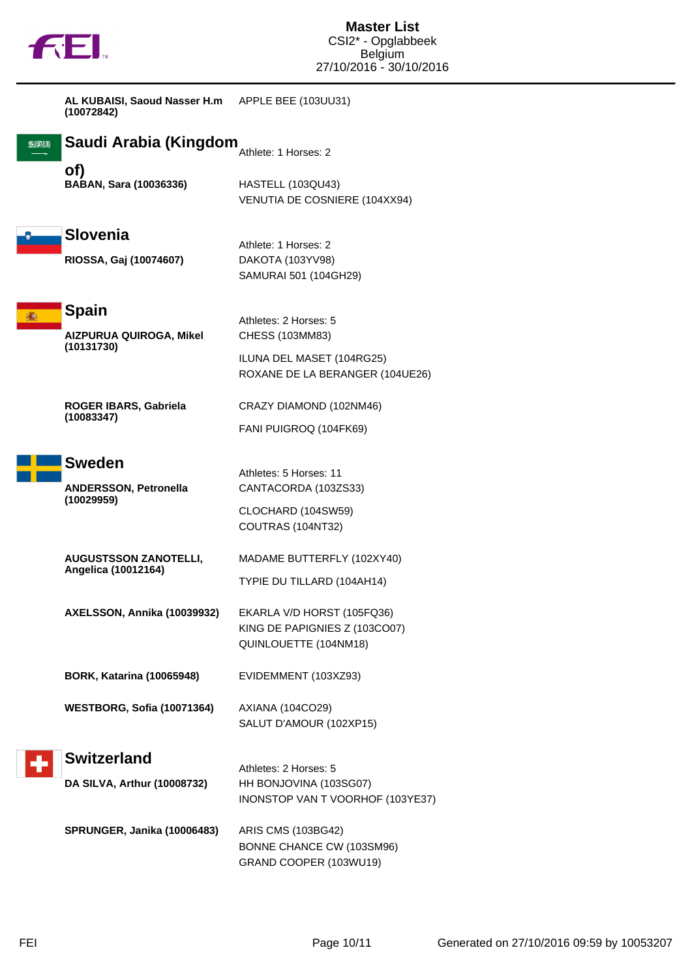

|          | AL KUBAISI, Saoud Nasser H.m APPLE BEE (103UU31)<br>(10072842) |                                                                                      |
|----------|----------------------------------------------------------------|--------------------------------------------------------------------------------------|
| الالاجرى | Saudi Arabia (Kingdom                                          | Athlete: 1 Horses: 2                                                                 |
|          | of)<br><b>BABAN, Sara (10036336)</b>                           | HASTELL (103QU43)<br>VENUTIA DE COSNIERE (104XX94)                                   |
|          | <b>Slovenia</b>                                                |                                                                                      |
|          | RIOSSA, Gaj (10074607)                                         | Athlete: 1 Horses: 2<br>DAKOTA (103YV98)<br>SAMURAI 501 (104GH29)                    |
|          | <b>Spain</b><br>AIZPURUA QUIROGA, Mikel<br>(10131730)          | Athletes: 2 Horses: 5<br>CHESS (103MM83)                                             |
|          |                                                                | ILUNA DEL MASET (104RG25)<br>ROXANE DE LA BERANGER (104UE26)                         |
|          | ROGER IBARS, Gabriela                                          | CRAZY DIAMOND (102NM46)                                                              |
|          | (10083347)                                                     | FANI PUIGROQ (104FK69)                                                               |
|          | <b>Sweden</b>                                                  |                                                                                      |
|          | ANDERSSON, Petronella                                          | Athletes: 5 Horses: 11<br>CANTACORDA (103ZS33)                                       |
|          | (10029959)                                                     | CLOCHARD (104SW59)<br>COUTRAS (104NT32)                                              |
|          | <b>AUGUSTSSON ZANOTELLI,</b>                                   | MADAME BUTTERFLY (102XY40)                                                           |
|          | Angelica (10012164)                                            | TYPIE DU TILLARD (104AH14)                                                           |
|          | <b>AXELSSON, Annika (10039932)</b>                             | EKARLA V/D HORST (105FQ36)<br>KING DE PAPIGNIES Z (103CO07)<br>QUINLOUETTE (104NM18) |
|          | <b>BORK, Katarina (10065948)</b>                               | EVIDEMMENT (103XZ93)                                                                 |
|          | <b>WESTBORG, Sofia (10071364)</b>                              | <b>AXIANA (104CO29)</b><br>SALUT D'AMOUR (102XP15)                                   |
|          | <b>Switzerland</b>                                             | Athletes: 2 Horses: 5                                                                |
|          | DA SILVA, Arthur (10008732)                                    | HH BONJOVINA (103SG07)<br>INONSTOP VAN T VOORHOF (103YE37)                           |
|          | <b>SPRUNGER, Janika (10006483)</b>                             | ARIS CMS (103BG42)<br>BONNE CHANCE CW (103SM96)<br>GRAND COOPER (103WU19)            |